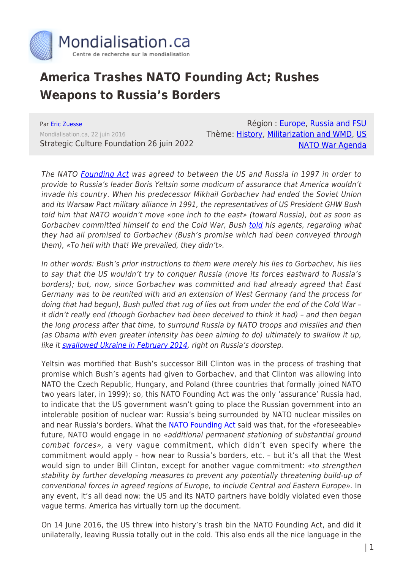

## **America Trashes NATO Founding Act; Rushes Weapons to Russia's Borders**

Par [Eric Zuesse](https://www.mondialisation.ca/author/eric-zuesse) Mondialisation.ca, 22 juin 2016 Strategic Culture Foundation 26 juin 2022

Région : [Europe](https://www.mondialisation.ca/region/europe), [Russia and FSU](https://www.mondialisation.ca/region/russia-and-fsu) Thème: [History,](https://www.mondialisation.ca/theme/culture-society-history) [Militarization and WMD,](https://www.mondialisation.ca/theme/militarization-and-wmd) [US](https://www.mondialisation.ca/theme/us-nato-war-agenda) [NATO War Agenda](https://www.mondialisation.ca/theme/us-nato-war-agenda)

The NATO [Founding Act](http://www.nato.int/cps/en/natohq/official_texts_25468.htm) was agreed to between the US and Russia in 1997 in order to provide to Russia's leader Boris Yeltsin some modicum of assurance that America wouldn't invade his country. When his predecessor Mikhail Gorbachev had ended the Soviet Union and its Warsaw Pact military alliance in 1991, the representatives of US President GHW Bush told him that NATO wouldn't move «one inch to the east» (toward Russia), but as soon as Gorbachev committed himself to end the Cold War, Bush [told](http://rinf.com/alt-news/breaking-news/how-america-double-crossed-russia-and-shamed-the-west/) his agents, regarding what they had all promised to Gorbachev (Bush's promise which had been conveyed through them), «To hell with that! We prevailed, they didn't».

In other words: Bush's prior instructions to them were merely his lies to Gorbachev, his lies to say that the US wouldn't try to conquer Russia (move its forces eastward to Russia's borders); but, now, since Gorbachev was committed and had already agreed that East Germany was to be reunited with and an extension of West Germany (and the process for doing that had begun), Bush pulled that rug of lies out from under the end of the Cold War – it didn't really end (though Gorbachev had been deceived to think it had) – and then began the long process after that time, to surround Russia by NATO troops and missiles and then (as Obama with even greater intensity has been aiming to do) ultimately to swallow it up, like it [swallowed Ukraine in February 2014](https://www.youtube.com/watch?v=8-RyOaFwcEw), right on Russia's doorstep.

Yeltsin was mortified that Bush's successor Bill Clinton was in the process of trashing that promise which Bush's agents had given to Gorbachev, and that Clinton was allowing into NATO the Czech Republic, Hungary, and Poland (three countries that formally joined NATO two years later, in 1999); so, this NATO Founding Act was the only 'assurance' Russia had, to indicate that the US government wasn't going to place the Russian government into an intolerable position of nuclear war: Russia's being surrounded by NATO nuclear missiles on and near Russia's borders. What the [NATO Founding Act](http://www.nato.int/cps/en/natohq/official_texts_25468.htm) said was that, for the «foreseeable» future, NATO would engage in no «additional permanent stationing of substantial ground combat forces», a very vague commitment, which didn't even specify where the commitment would apply – how near to Russia's borders, etc. – but it's all that the West would sign to under Bill Clinton, except for another vague commitment: «to strengthen stability by further developing measures to prevent any potentially threatening build-up of conventional forces in agreed regions of Europe, to include Central and Eastern Europe». In any event, it's all dead now: the US and its NATO partners have boldly violated even those vague terms. America has virtually torn up the document.

On 14 June 2016, the US threw into history's trash bin the NATO Founding Act, and did it unilaterally, leaving Russia totally out in the cold. This also ends all the nice language in the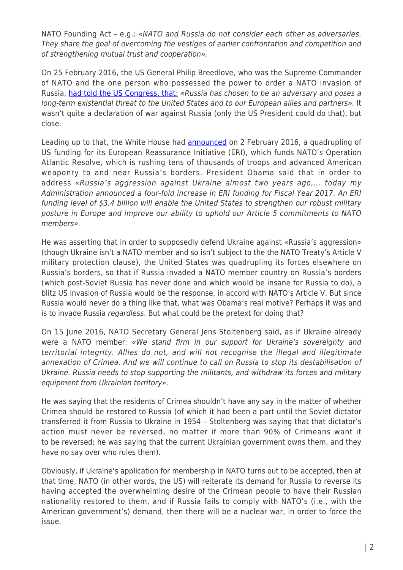NATO Founding Act – e.g.: «NATO and Russia do not consider each other as adversaries. They share the goal of overcoming the vestiges of earlier confrontation and competition and of strengthening mutual trust and cooperation».

On 25 February 2016, the US General Philip Breedlove, who was the Supreme Commander of NATO and the one person who possessed the power to order a NATO invasion of Russia, [had told the US Congress, that:](http://www.rferl.org/content/nato-breedlove-russia-existential-threat/27574037.html) «Russia has chosen to be an adversary and poses a long-term existential threat to the United States and to our European allies and partners». It wasn't quite a declaration of war against Russia (only the US President could do that), but close.

Leading up to that, the White House had **[announced](https://www.whitehouse.gov/the-press-office/2016/02/02/statement-president-fy2017-european-reassurance-initiative-budget)** on 2 February 2016, a quadrupling of US funding for its European Reassurance Initiative (ERI), which funds NATO's Operation Atlantic Resolve, which is rushing tens of thousands of troops and advanced American weaponry to and near Russia's borders. President Obama said that in order to address «Russia's aggression against Ukraine almost two years ago,… today my Administration announced a four-fold increase in ERI funding for Fiscal Year 2017. An ERI funding level of \$3.4 billion will enable the United States to strengthen our robust military posture in Europe and improve our ability to uphold our Article 5 commitments to NATO members».

He was asserting that in order to supposedly defend Ukraine against «Russia's aggression» (though Ukraine isn't a NATO member and so isn't subject to the the NATO Treaty's Article V military protection clause), the United States was quadrupling its forces elsewhere on Russia's borders, so that if Russia invaded a NATO member country on Russia's borders (which post-Soviet Russia has never done and which would be insane for Russia to do), a blitz US invasion of Russia would be the response, in accord with NATO's Article V. But since Russia would never do a thing like that, what was Obama's real motive? Perhaps it was and is to invade Russia regardless. But what could be the pretext for doing that?

On 15 June 2016, NATO Secretary General Jens Stoltenberg said, as if Ukraine already were a NATO member: «We stand firm in our support for Ukraine's sovereignty and territorial integrity. Allies do not, and will not recognise the illegal and illegitimate annexation of Crimea. And we will continue to call on Russia to stop its destabilisation of Ukraine. Russia needs to stop supporting the militants, and withdraw its forces and military equipment from Ukrainian territory».

He was saying that the residents of Crimea shouldn't have any say in the matter of whether Crimea should be restored to Russia (of which it had been a part until the Soviet dictator transferred it from Russia to Ukraine in 1954 – Stoltenberg was saying that that dictator's action must never be reversed, no matter if more than 90% of Crimeans want it to be reversed; he was saying that the current Ukrainian government owns them, and they have no say over who rules them).

Obviously, if Ukraine's application for membership in NATO turns out to be accepted, then at that time, NATO (in other words, the US) will reiterate its demand for Russia to reverse its having accepted the overwhelming desire of the Crimean people to have their Russian nationality restored to them, and if Russia fails to comply with NATO's (i.e., with the American government's) demand, then there will be a nuclear war, in order to force the issue.